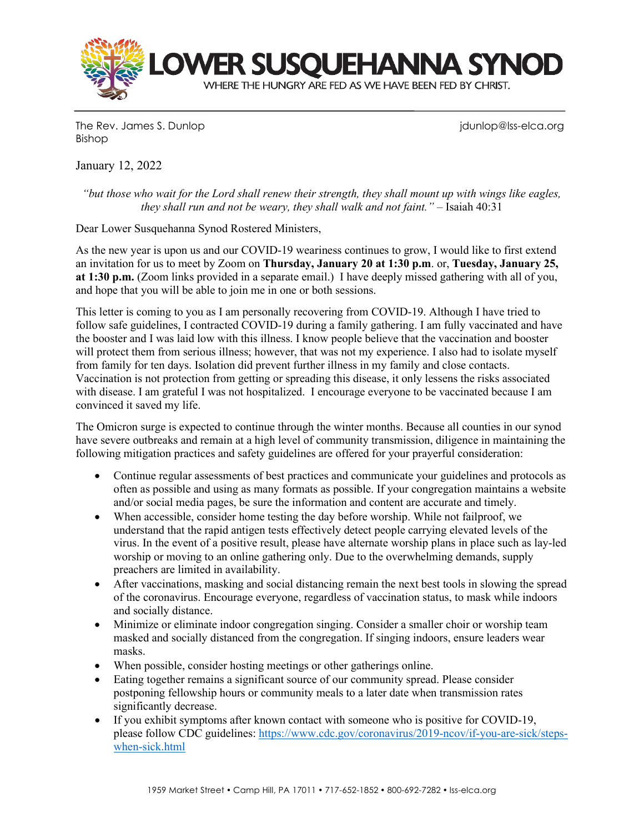

The Rev. James S. Dunlop junior in the Rev. James S. Dunlop junior in the Rev. James S. Dunlop in the Vietnam Bishop

January 12, 2022

*"but those who wait for the Lord shall renew their strength, they shall mount up with wings like eagles, they shall run and not be weary, they shall walk and not faint." –* Isaiah 40:31

Dear Lower Susquehanna Synod Rostered Ministers,

As the new year is upon us and our COVID-19 weariness continues to grow, I would like to first extend an invitation for us to meet by Zoom on **Thursday, January 20 at 1:30 p.m**. or, **Tuesday, January 25, at 1:30 p.m.** (Zoom links provided in a separate email.) I have deeply missed gathering with all of you, and hope that you will be able to join me in one or both sessions.

This letter is coming to you as I am personally recovering from COVID-19. Although I have tried to follow safe guidelines, I contracted COVID-19 during a family gathering. I am fully vaccinated and have the booster and I was laid low with this illness. I know people believe that the vaccination and booster will protect them from serious illness; however, that was not my experience. I also had to isolate myself from family for ten days. Isolation did prevent further illness in my family and close contacts. Vaccination is not protection from getting or spreading this disease, it only lessens the risks associated with disease. I am grateful I was not hospitalized. I encourage everyone to be vaccinated because I am convinced it saved my life.

The Omicron surge is expected to continue through the winter months. Because all counties in our synod have severe outbreaks and remain at a high level of community transmission, diligence in maintaining the following mitigation practices and safety guidelines are offered for your prayerful consideration:

- Continue regular assessments of best practices and communicate your guidelines and protocols as often as possible and using as many formats as possible. If your congregation maintains a website and/or social media pages, be sure the information and content are accurate and timely.
- When accessible, consider home testing the day before worship. While not failproof, we understand that the rapid antigen tests effectively detect people carrying elevated levels of the virus. In the event of a positive result, please have alternate worship plans in place such as lay-led worship or moving to an online gathering only. Due to the overwhelming demands, supply preachers are limited in availability.
- After vaccinations, masking and social distancing remain the next best tools in slowing the spread of the coronavirus. Encourage everyone, regardless of vaccination status, to mask while indoors and socially distance.
- Minimize or eliminate indoor congregation singing. Consider a smaller choir or worship team masked and socially distanced from the congregation. If singing indoors, ensure leaders wear masks.
- When possible, consider hosting meetings or other gatherings online.
- Eating together remains a significant source of our community spread. Please consider postponing fellowship hours or community meals to a later date when transmission rates significantly decrease.
- If you exhibit symptoms after known contact with someone who is positive for COVID-19, please follow CDC guidelines: [https://www.cdc.gov/coronavirus/2019-ncov/if-you-are-sick/steps](https://www.cdc.gov/coronavirus/2019-ncov/if-you-are-sick/steps-when-sick.html)[when-sick.html](https://www.cdc.gov/coronavirus/2019-ncov/if-you-are-sick/steps-when-sick.html)